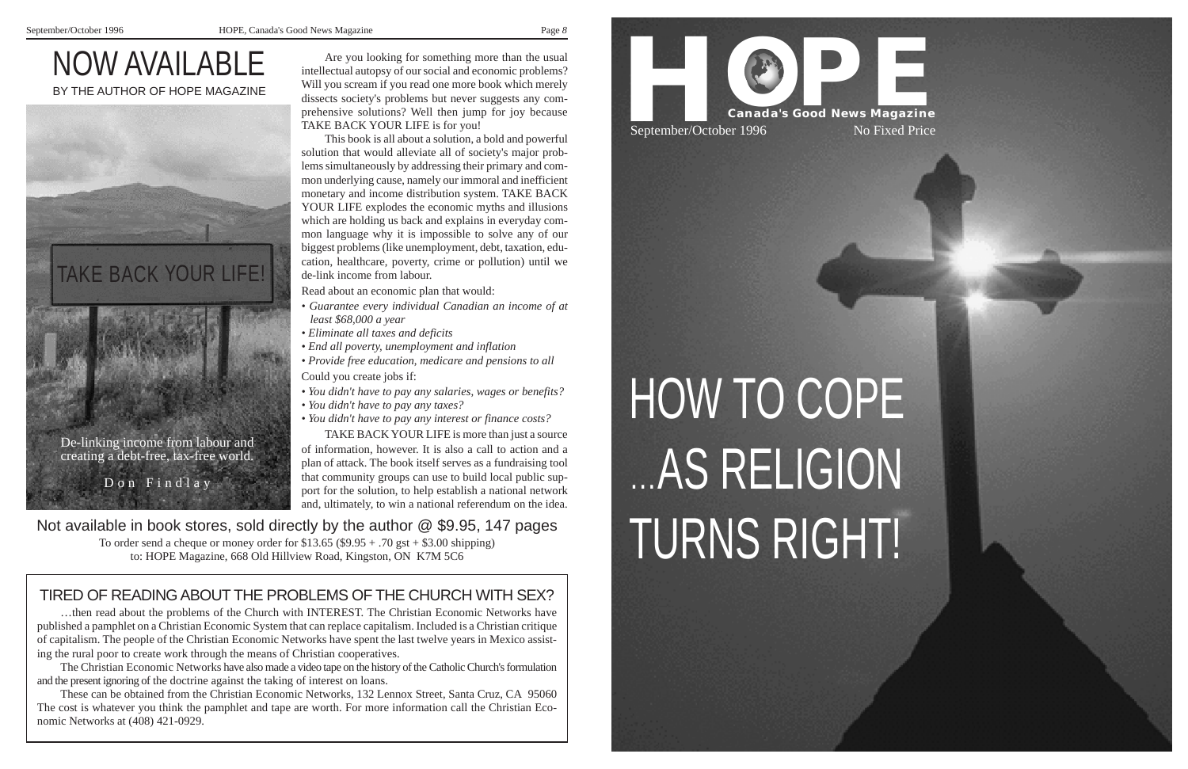*8*

# NOW AVAILABLE BY THE AUTHOR OF HOPE MAGAZINE

Are you looking for something more than the usual intellectual autopsy of our social and economic problems? Will you scream if you read one more book which merely dissects society's problems but never suggests any comprehensive solutions? Well then jump for joy because TAKE BACK YOUR LIFE is for you!

This book is all about a solution, a bold and powerful solution that would alleviate all of society's major problems simultaneously by addressing their primary and common underlying cause, namely our immoral and inefficient monetary and income distribution system. TAKE BACK YOUR LIFE explodes the economic myths and illusions which are holding us back and explains in everyday common language why it is impossible to solve any of our biggest problems (like unemployment, debt, taxation, education, healthcare, poverty, crime or pollution) until we de-link income from labour.

Read about an economic plan that would:

- *Guarantee every individual Canadian an income of at least \$68,000 a year*
- *Eliminate all taxes and deficits*
- *End all poverty, unemployment and inflation*
- *Provide free education, medicare and pensions to all* Could you create jobs if:
- *You didn't have to pay any salaries, wages or benefits?*
- *You didn't have to pay any taxes?*
- *You didn't have to pay any interest or finance costs?*

TAKE BACK YOUR LIFE is more than just a source of information, however. It is also a call to action and a plan of attack. The book itself serves as a fundraising tool that community groups can use to build local public support for the solution, to help establish a national network and, ultimately, to win a national referendum on the idea.

Not available in book stores, sold directly by the author @ \$9.95, 147 pages<br>To order send a cheque or money order for \$13.65 (\$9.95 + .70 gst + \$3.00 shipping)<br>to: HOPE Magazine, 668 Old Hillview Road, Kingston, ON K7M 5

## TIRED OF READING ABOUT THE PROBLEMS OF THE CHURCH WITH SEX?

…then read about the problems of the Church with INTEREST. The Christian Economic Networks have published a pamphlet on a Christian Economic System that can replace capitalism. Included is a Christian critique of capitalism. The people of the Christian Economic Networks have spent the last twelve years in Mexico assisting the rural poor to create work through the means of Christian cooperatives.

The Christian Economic Networks have also made a video tape on the history of the Catholic Church's formulation and the present ignoring of the doctrine against the taking of interest on loans.

These can be obtained from the Christian Economic Networks, 132 Lennox Street, Santa Cruz, CA 95060 The cost is whatever you think the pamphlet and tape are worth. For more information call the Christian Economic Networks at (408) 421-0929.



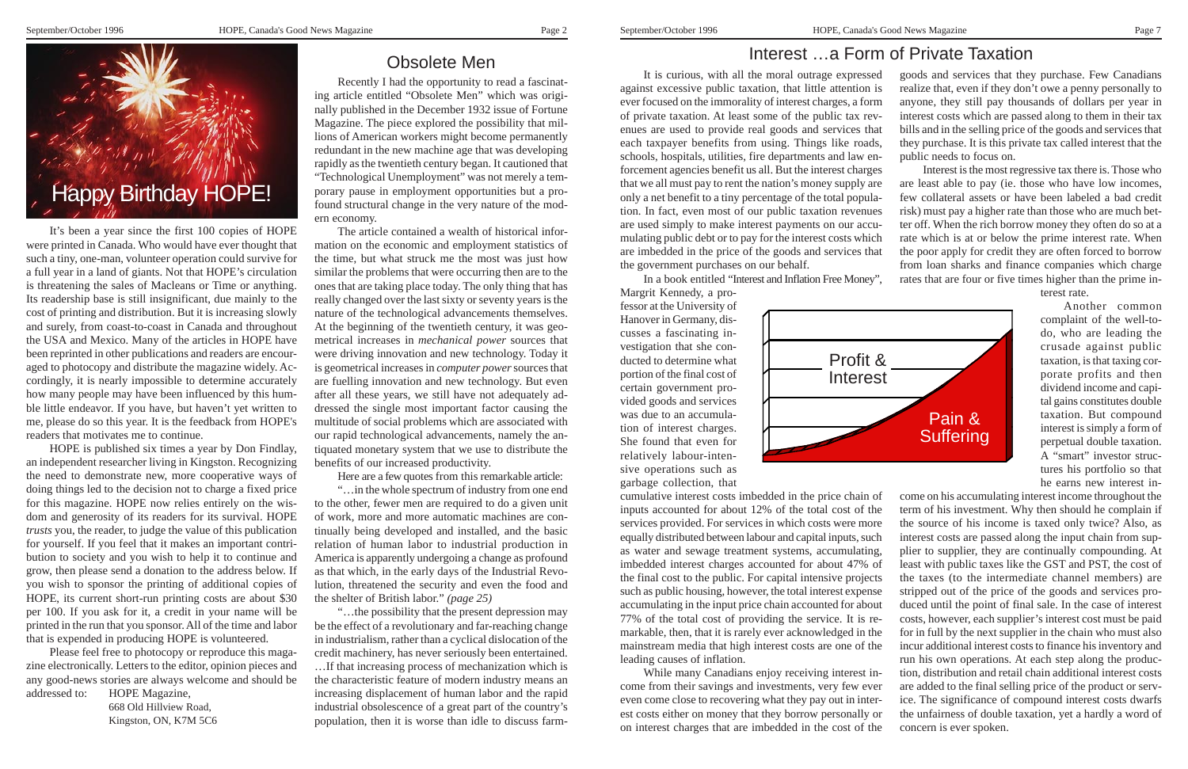### Obsolete Men

Recently I had the opportunity to read a fascinating article entitled "Obsolete Men" which was originally published in the December 1932 issue of Fortune Magazine. The piece explored the possibility that millions of American workers might become permanently redundant in the new machine age that was developing rapidly as the twentieth century began. It cautioned that "Technological Unemployment" was not merely a temporary pause in employment opportunities but a profound structural change in the very nature of the modern economy.

The article contained a wealth of historical information on the economic and employment statistics of the time, but what struck me the most was just how similar the problems that were occurring then are to the ones that are taking place today. The only thing that has really changed over the last sixty or seventy years is the nature of the technological advancements themselves. At the beginning of the twentieth century, it was geometrical increases in *mechanical power* sources that were driving innovation and new technology. Today it is geometrical increases in *computer power* sources that are fuelling innovation and new technology. But even after all these years, we still have not adequately addressed the single most important factor causing the multitude of social problems which are associated with our rapid technological advancements, namely the antiquated monetary system that we use to distribute the benefits of our increased productivity.

Here are a few quotes from this remarkable article:

"…in the whole spectrum of industry from one end to the other, fewer men are required to do a given unit of work, more and more automatic machines are continually being developed and installed, and the basic relation of human labor to industrial production in America is apparently undergoing a change as profound as that which, in the early days of the Industrial Revolution, threatened the security and even the food and the shelter of British labor." *(page 25)*

"…the possibility that the present depression may be the effect of a revolutionary and far-reaching change in industrialism, rather than a cyclical dislocation of the credit machinery, has never seriously been entertained. …If that increasing process of mechanization which is the characteristic feature of modern industry means an increasing displacement of human labor and the rapid industrial obsolescence of a great part of the country's population, then it is worse than idle to discuss farm-

It's been a year since the first 100 copies of HOPE were printed in Canada. Who would have ever thought that such a tiny, one-man, volunteer operation could survive for a full year in a land of giants. Not that HOPE's circulation is threatening the sales of Macleans or Time or anything. Its readership base is still insignificant, due mainly to the cost of printing and distribution. But it is increasing slowly and surely, from coast-to-coast in Canada and throughout the USA and Mexico. Many of the articles in HOPE have been reprinted in other publications and readers are encour aged to photocopy and distribute the magazine widely. Ac cordingly, it is nearly impossible to determine accurately how many people may have been influenced by this hum ble little endeavor. If you have, but haven't yet written to me, please do so this year. It is the feedback from HOPE's readers that motivates me to continue.

HOPE is published six times a year by Don Findlay, an independent researcher living in Kingston. Recognizing the need to demonstrate new, more cooperative ways of doing things led to the decision not to charge a fixed price for this magazine. HOPE now relies entirely on the wis dom and generosity of its readers for its survival. HOPE *trusts* you, the reader, to judge the value of this publication for yourself. If you feel that it makes an important contri bution to society and you wish to help it to continue and grow, then please send a donation to the address below. If you wish to sponsor the printing of additional copies of HOPE, its current short-run printing costs are about \$30 per 100. If you ask for it, a credit in your name will be printed in the run that you sponsor. All of the time and labor that is expended in producing HOPE is volunteered.

Please feel free to photocopy or reproduce this maga zine electronically. Letters to the editor, opinion pieces and any good-news stories are always welcome and should be addressed to: HOPE Magazine,

668 Old Hillview Road, Kingston, ON, K7M 5C6



### Interest …a Form of Private Taxation

fessor at the University of Hanover in Germany, discusses a fascinating investigation that she conducted to determine what portion of the final cost of certain government provided goods and services was due to an accumulation of interest charges. She found that even for relatively labour-intensive operations such as garbage collection, that

It is curious, with all the moral outrage expressed against excessive public taxation, that little attention is ever focused on the immorality of interest charges, a form of private taxation. At least some of the public tax revenues are used to provide real goods and services that each taxpayer benefits from using. Things like roads, schools, hospitals, utilities, fire departments and law enforcement agencies benefit us all. But the interest charges that we all must pay to rent the nation's money supply are only a net benefit to a tiny percentage of the total population. In fact, even most of our public taxation revenues are used simply to make interest payments on our accumulating public debt or to pay for the interest costs which are imbedded in the price of the goods and services that the government purchases on our behalf. In a book entitled "Interest and Inflation Free Money", Margrit Kennedy, a progoods and services that they purchase. Few Canadians realize that, even if they don't owe a penny personally to anyone, they still pay thousands of dollars per year in interest costs which are passed along to them in their tax bills and in the selling price of the goods and services that they purchase. It is this private tax called interest that the public needs to focus on. Interest is the most regressive tax there is. Those who are least able to pay (ie. those who have low incomes, few collateral assets or have been labeled a bad credit risk) must pay a higher rate than those who are much better off. When the rich borrow money they often do so at a rate which is at or below the prime interest rate. When the poor apply for credit they are often forced to borrow from loan sharks and finance companies which charge rates that are four or five times higher than the prime interest rate.

cumulative interest costs imbedded in the price chain of inputs accounted for about 12% of the total cost of the services provided. For services in which costs were more equally distributed between labour and capital inputs, such as water and sewage treatment systems, accumulating, imbedded interest charges accounted for about 47% of the final cost to the public. For capital intensive projects such as public housing, however, the total interest expense accumulating in the input price chain accounted for about 77% of the total cost of providing the service. It is remarkable, then, that it is rarely ever acknowledged in the mainstream media that high interest costs are one of the leading causes of inflation. come from their savings and investments, very few ever even come close to recovering what they pay out in interest costs either on money that they borrow personally or on interest charges that are imbedded in the cost of the

While many Canadians enjoy receiving interest income on his accumulating interest income throughout the term of his investment. Why then should he complain if the source of his income is taxed only twice? Also, as interest costs are passed along the input chain from supplier to supplier, they are continually compounding. At least with public taxes like the GST and PST, the cost of the taxes (to the intermediate channel members) are stripped out of the price of the goods and services produced until the point of final sale. In the case of interest costs, however, each supplier's interest cost must be paid for in full by the next supplier in the chain who must also incur additional interest costs to finance his inventory and run his own operations. At each step along the production, distribution and retail chain additional interest costs are added to the final selling price of the product or service. The significance of compound interest costs dwarfs the unfairness of double taxation, yet a hardly a word of concern is ever spoken.

Another common complaint of the well-todo, who are leading the crusade against public taxation, is that taxing corporate profits and then dividend income and capital gains constitutes double taxation. But compound interest is simply a form of perpetual double taxation. A "smart" investor structures his portfolio so that he earns new interest in-

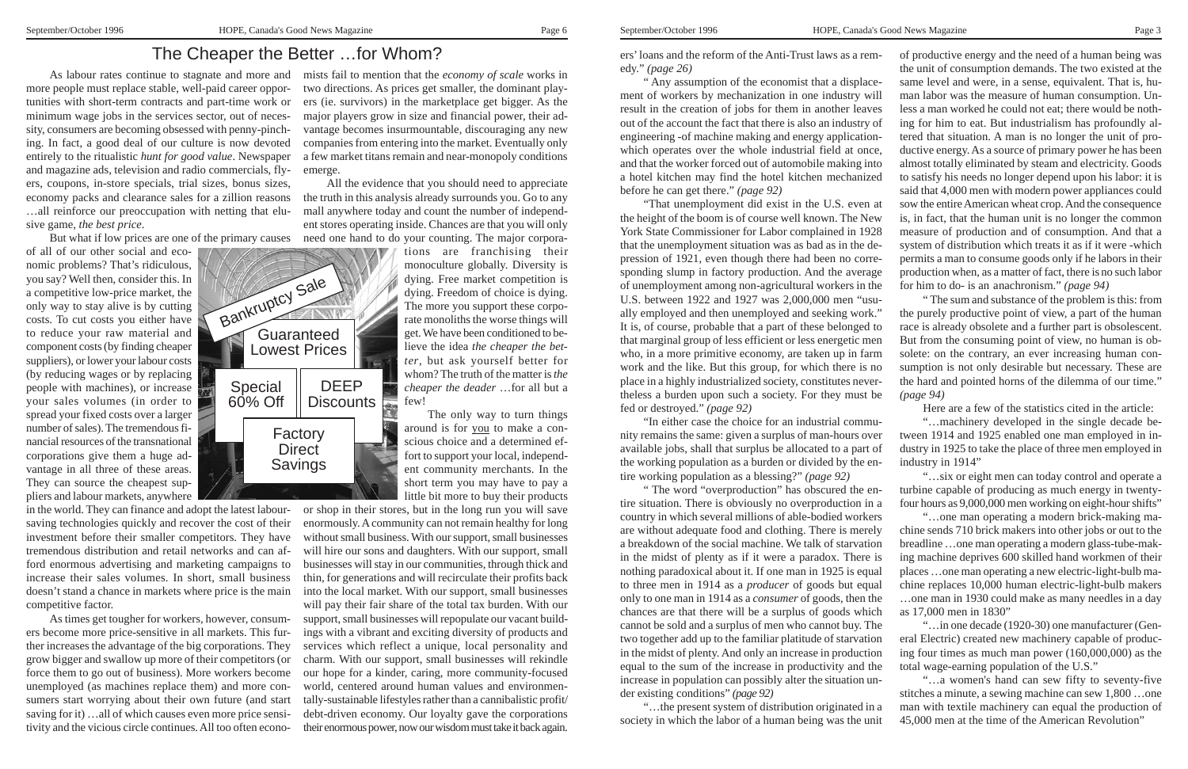### The Cheaper the Better …for Whom?

As labour rates continue to stagnate and more and mists fail to mention that the *economy of scale* works in two directions. As prices get smaller, the dominant players (ie. survivors) in the marketplace get bigger. As the major players grow in size and financial power, their advantage becomes insurmountable, discouraging any new companies from entering into the market. Eventually only a few market titans remain and near-monopoly conditions emerge.

> All the evidence that you should need to appreciate the truth in this analysis already surrounds you. Go to any mall anywhere today and count the number of independent stores operating inside. Chances are that you will only need one hand to do your counting. The major corpora-

> > tions are franchising their monoculture globally. Diversity is dying. Free market competition is dying. Freedom of choice is dying. The more you support these corporate monoliths the worse things will get. We have been conditioned to believe the idea *the cheaper the better*, but ask yourself better for whom? The truth of the matter is *the cheaper the deader* …for all but a few!

> > The only way to turn things around is for you to make a conscious choice and a determined effort to support your local, independent community merchants. In the short term you may have to pay a little bit more to buy their products

or shop in their stores, but in the long run you will save enormously. A community can not remain healthy for long without small business. With our support, small businesses will hire our sons and daughters. With our support, small businesses will stay in our communities, through thick and thin, for generations and will recirculate their profits back into the local market. With our support, small businesses will pay their fair share of the total tax burden. With our support, small businesses will repopulate our vacant buildings with a vibrant and exciting diversity of products and services which reflect a unique, local personality and charm. With our support, small businesses will rekindle our hope for a kinder, caring, more community-focused world, centered around human values and environmentally-sustainable lifestyles rather than a cannibalistic profit/ debt-driven economy. Our loyalty gave the corporations their enormous power, now our wisdom must take it back again.

more people must replace stable, well-paid career opportunities with short-term contracts and part-time work or minimum wage jobs in the services sector, out of necessity, consumers are becoming obsessed with penny-pinching. In fact, a good deal of our culture is now devoted entirely to the ritualistic *hunt for good value*. Newspaper and magazine ads, television and radio commercials, flyers, coupons, in-store specials, trial sizes, bonus sizes, economy packs and clearance sales for a zillion reasons …all reinforce our preoccupation with netting that elusive game, *the best price*.

But what if low prices are one of the primary causes

" The word "overproduction" has obscured the en tire situation. There is obviously no overproduction in a country in which several millions of able-bodied workers are without adequate food and clothing. There is merely a breakdown of the social machine. We talk of starvation in the midst of plenty as if it were a paradox. There is nothing paradoxical about it. If one man in 1925 is equal to three men in 1914 as a *producer* of goods but equal only to one man in 1914 as a *consumer* of goods, then the chances are that there will be a surplus of goods which cannot be sold and a surplus of men who cannot buy. The two together add up to the familiar platitude of starvation in the midst of plenty. And only an increase in production equal to the sum of the increase in productivity and the increase in population can possibly alter the situation un der existing conditions" *(page 92)* "…the present system of distribution originated in a For a contract of the contract of the same of the same of the same of the same of the same of the same of the same of the same of the same of the same of the same of the same of the same of the same of the same of the sam

of all of our other social and economic problems? That's ridiculous, you say? Well then, consider this. In a competitive low-price market, the only way to stay alive is by cutting costs. To cut costs you either have to reduce your raw material and component costs (by finding cheaper suppliers), or lower your labour costs (by reducing wages or by replacing people with machines), or increase your sales volumes (in order to spread your fixed costs over a larger number of sales). The tremendous financial resources of the transnational corporations give them a huge advantage in all three of these areas. They can source the cheapest suppliers and labour markets, anywhere

in the world. They can finance and adopt the latest laboursaving technologies quickly and recover the cost of their investment before their smaller competitors. They have tremendous distribution and retail networks and can afford enormous advertising and marketing campaigns to increase their sales volumes. In short, small business doesn't stand a chance in markets where price is the main competitive factor.

As times get tougher for workers, however, consumers become more price-sensitive in all markets. This further increases the advantage of the big corporations. They grow bigger and swallow up more of their competitors (or force them to go out of business). More workers become unemployed (as machines replace them) and more consumers start worrying about their own future (and start saving for it) …all of which causes even more price sensitivity and the vicious circle continues. All too often econoers' loans and the reform of the Anti-Trust laws as a rem edy." *(page 26)* " Any assumption of the economist that a displace ment of workers by mechanization in one industry will result in the creation of jobs for them in another leaves out of the account the fact that there is also an industry of engineering -of machine making and energy application which operates over the whole industrial field at once, and that the worker forced out of automobile making into a hotel kitchen may find the hotel kitchen mechanized before he can get there." *(page 92)* "That unemployment did exist in the U.S. even at the height of the boom is of course well known. The New York State Commissioner for Labor complained in 1928 that the unemployment situation was as bad as in the de pression of 1921, even though there had been no corre sponding slump in factory production. And the average of unemployment among non-agricultural workers in the

U.S. between 1922 and 1927 was 2,000,000 men "usu ally employed and then unemployed and seeking work." It is, of course, probable that a part of these belonged to that marginal group of less efficient or less energetic men who, in a more primitive economy, are taken up in farm work and the like. But this group, for which there is no place in a highly industrialized society, constitutes never theless a burden upon such a society. For they must be fed or destroyed." *(page 92)*

"In either case the choice for an industrial commu nity remains the same: given a surplus of man-hours over available jobs, shall that surplus be allocated to a part of the working population as a burden or divided by the en tire working population as a blessing?" *(page 92)*